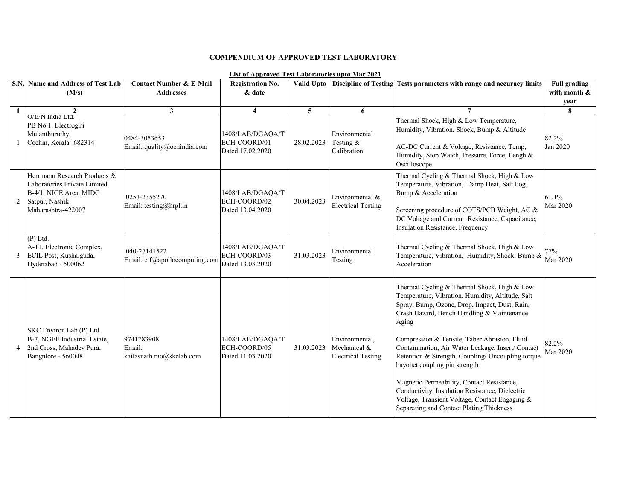## **COMPENDIUM OF APPROVED TEST LABORATORY**

## **List of Approved Test Laboratories upto Mar 2021**

|              | S.N. Name and Address of Test Lab                                                                                              | <b>Contact Number &amp; E-Mail</b>                | <b>Registration No.</b>                              |                         |                                                             | Valid Upto Discipline of Testing Tests parameters with range and accuracy limits                                                                                                                                                                                                                                                                                                                                                                                                                                                                                                                  | <b>Full grading</b>      |
|--------------|--------------------------------------------------------------------------------------------------------------------------------|---------------------------------------------------|------------------------------------------------------|-------------------------|-------------------------------------------------------------|---------------------------------------------------------------------------------------------------------------------------------------------------------------------------------------------------------------------------------------------------------------------------------------------------------------------------------------------------------------------------------------------------------------------------------------------------------------------------------------------------------------------------------------------------------------------------------------------------|--------------------------|
|              | (M/s)                                                                                                                          | <b>Addresses</b>                                  | & date                                               |                         |                                                             |                                                                                                                                                                                                                                                                                                                                                                                                                                                                                                                                                                                                   | with month &             |
|              |                                                                                                                                |                                                   |                                                      |                         |                                                             |                                                                                                                                                                                                                                                                                                                                                                                                                                                                                                                                                                                                   | year                     |
| $\mathbf{1}$ | $\overline{2}$<br>O/E/N India Ltd.                                                                                             | $\mathbf{3}$                                      | $\overline{\mathbf{4}}$                              | $\overline{\mathbf{5}}$ | 6                                                           | 7                                                                                                                                                                                                                                                                                                                                                                                                                                                                                                                                                                                                 | 8                        |
|              | PB No.1, Electrogiri<br>Mulanthuruthy,<br>Cochin, Kerala- 682314                                                               | 0484-3053653<br>Email: quality@oenindia.com       | 1408/LAB/DGAOA/T<br>ECH-COORD/01<br>Dated 17.02.2020 | 28.02.2023              | Environmental<br>Testing $&$<br>Calibration                 | Thermal Shock, High & Low Temperature,<br>Humidity, Vibration, Shock, Bump & Altitude<br>AC-DC Current & Voltage, Resistance, Temp,<br>Humidity, Stop Watch, Pressure, Force, Lengh &<br>Oscilloscope                                                                                                                                                                                                                                                                                                                                                                                             | 82.2%<br>Jan 2020        |
| 2            | Herrmann Research Products &<br>Laboratories Private Limited<br>B-4/1, NICE Area, MIDC<br>Satpur, Nashik<br>Maharashtra-422007 | 0253-2355270<br>Email: testing@hrpl.in            | 1408/LAB/DGAQA/T<br>ECH-COORD/02<br>Dated 13.04.2020 | 30.04.2023              | Environmental &<br><b>Electrical Testing</b>                | Thermal Cycling & Thermal Shock, High & Low<br>Temperature, Vibration, Damp Heat, Salt Fog,<br>Bump & Acceleration<br>Screening procedure of COTS/PCB Weight, AC &<br>DC Voltage and Current, Resistance, Capacitance,<br><b>Insulation Resistance</b> , Frequency                                                                                                                                                                                                                                                                                                                                | 61.1%<br><b>Mar 2020</b> |
| 3            | $(P)$ Ltd.<br>A-11, Electronic Complex,<br>ECIL Post, Kushaiguda,<br>Hyderabad - 500062                                        | 040-27141522<br>Email: etf@apollocomputing.com    | 1408/LAB/DGAQA/T<br>ECH-COORD/03<br>Dated 13.03.2020 | 31.03.2023              | Environmental<br>Testing                                    | Thermal Cycling & Thermal Shock, High & Low<br>Temperature, Vibration, Humidity, Shock, Bump &<br>Acceleration                                                                                                                                                                                                                                                                                                                                                                                                                                                                                    | 77%<br>Mar 2020          |
| 4            | SKC Environ Lab (P) Ltd.<br>B-7, NGEF Industrial Estate,<br>2nd Cross, Mahadev Pura,<br>Bangnlore - 560048                     | 9741783908<br>Email:<br>kailasnath.rao@skclab.com | 1408/LAB/DGAOA/T<br>ECH-COORD/05<br>Dated 11.03.2020 | 31.03.2023              | Environmental,<br>Mechanical &<br><b>Electrical Testing</b> | Thermal Cycling & Thermal Shock, High & Low<br>Temperature, Vibration, Humidity, Altitude, Salt<br>Spray, Bump, Ozone, Drop, Impact, Dust, Rain,<br>Crash Hazard, Bench Handling & Maintenance<br>Aging<br>Compression & Tensile, Taber Abrasion, Fluid<br>Contamination, Air Water Leakage, Insert/ Contact<br>Retention & Strength, Coupling/ Uncoupling torque<br>bayonet coupling pin strength<br>Magnetic Permeability, Contact Resistance,<br>Conductivity, Insulation Resistance, Dielectric<br>Voltage, Transient Voltage, Contact Engaging &<br>Separating and Contact Plating Thickness | 82.2%<br>Mar 2020        |